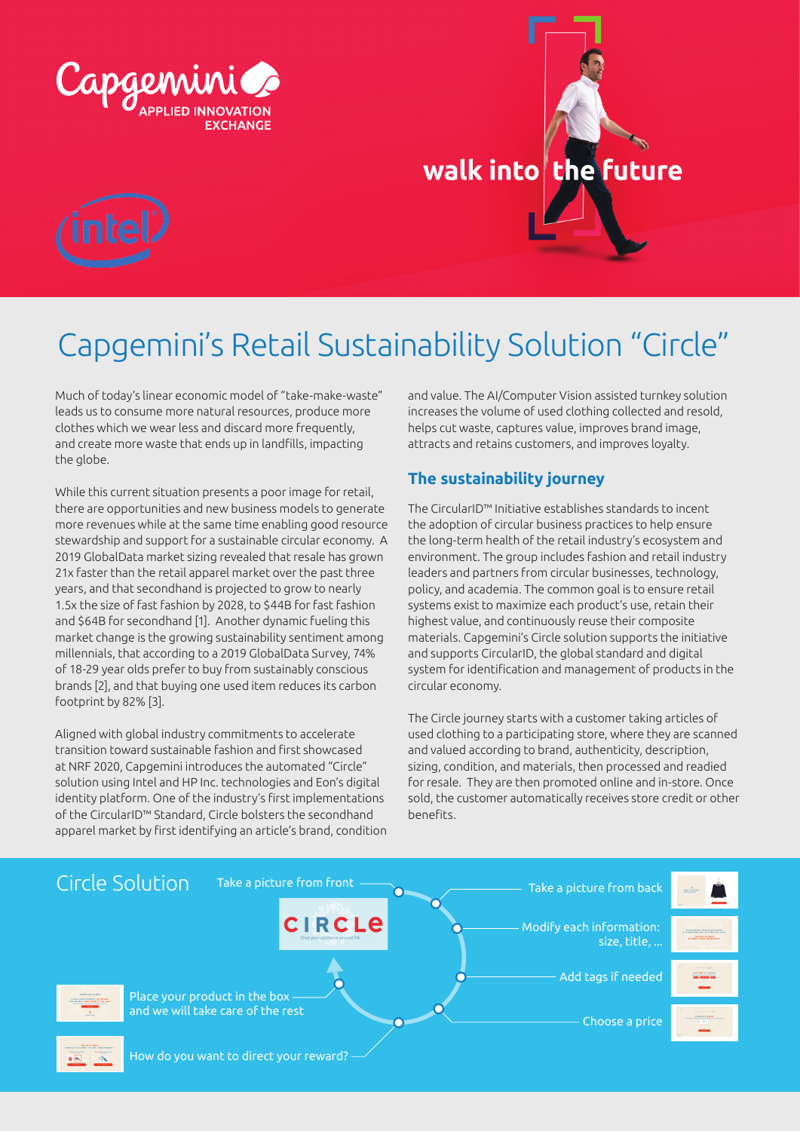





# Capgemini's Retail Sustainability Solution "Circle"

Much of today's linear economic model of "take-make-waste" leads us to consume more natural resources, produce more clothes which we wear less and discard more frequently, and create more waste that ends up in landfills, impacting the globe.

While this current situation presents a poor image for retail, there are opportunities and new business models to generate more revenues while at the same time enabling good resource stewardship and support for a sustainable circular economy. A 2019 GlobalData market sizing revealed that resale has grown 21x faster than the retail apparel market over the past three years, and that secondhand is projected to grow to nearly 1.5x the size of fast fashion by 2028, to \$44B for fast fashion and \$64B for secondhand [1]. Another dynamic fueling this market change is the growing sustainability sentiment among millennials, that according to a 2019 GlobalData Survey, 74% of 18-29 year olds prefer to buy from sustainably conscious brands [2], and that buying one used item reduces its carbon footprint by 82% [3].

Aligned with global industry commitments to accelerate transition toward sustainable fashion and first showcased at NRF 2020, Capgemini introduces the automated "Circle" solution using Intel and HP Inc. technologies and Eon's digital identity platform. One of the industry's first implementations of the CircularID™ Standard, Circle bolsters the secondhand apparel market by first identifying an article's brand, condition and value. The AI/Computer Vision assisted turnkey solution increases the volume of used clothing collected and resold, helps cut waste, captures value, improves brand image, attracts and retains customers, and improves loyalty.

# **The sustainability journey**

The CircularID™ Initiative establishes standards to incent the adoption of circular business practices to help ensure the long-term health of the retail industry's ecosystem and environment. The group includes fashion and retail industry leaders and partners from circular businesses, technology, policy, and academia. The common goal is to ensure retail systems exist to maximize each product's use, retain their highest value, and continuously reuse their composite materials. Capgemini's Circle solution supports the initiative and supports CircularID, the global standard and digital system for identification and management of products in the circular economy.

The Circle journey starts with a customer taking articles of used clothing to a participating store, where they are scanned and valued according to brand, authenticity, description, sizing, condition, and materials, then processed and readied for resale. They are then promoted online and in-store. Once sold, the customer automatically receives store credit or other benefits.